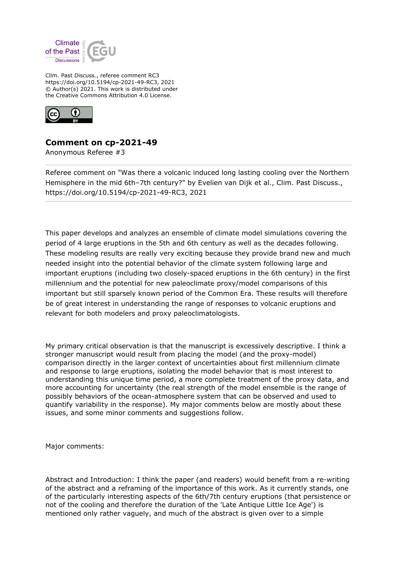

Clim. Past Discuss., referee comment RC3 https://doi.org/10.5194/cp-2021-49-RC3, 2021 © Author(s) 2021. This work is distributed under the Creative Commons Attribution 4.0 License.



## **Comment on cp-2021-49**

Anonymous Referee #3

Referee comment on "Was there a volcanic induced long lasting cooling over the Northern Hemisphere in the mid 6th-7th century?" by Evelien van Dijk et al., Clim. Past Discuss., https://doi.org/10.5194/cp-2021-49-RC3, 2021

This paper develops and analyzes an ensemble of climate model simulations covering the period of 4 large eruptions in the 5th and 6th century as well as the decades following. These modeling results are really very exciting because they provide brand new and much needed insight into the potential behavior of the climate system following large and important eruptions (including two closely-spaced eruptions in the 6th century) in the first millennium and the potential for new paleoclimate proxy/model comparisons of this important but still sparsely known period of the Common Era. These results will therefore be of great interest in understanding the range of responses to volcanic eruptions and relevant for both modelers and proxy paleoclimatologists.

My primary critical observation is that the manuscript is excessively descriptive. I think a stronger manuscript would result from placing the model (and the proxy-model) comparison directly in the larger context of uncertainties about first millennium climate and response to large eruptions, isolating the model behavior that is most interest to understanding this unique time period, a more complete treatment of the proxy data, and more accounting for uncertainty (the real strength of the model ensemble is the range of possibly behaviors of the ocean-atmosphere system that can be observed and used to quantify variability in the response). My major comments below are mostly about these issues, and some minor comments and suggestions follow.

Major comments:

Abstract and Introduction: I think the paper (and readers) would benefit from a re-writing of the abstract and a reframing of the importance of this work. As it currently stands, one of the particularly interesting aspects of the 6th/7th century eruptions (that persistence or not of the cooling and therefore the duration of the 'Late Antique Little Ice Age') is mentioned only rather vaguely, and much of the abstract is given over to a simple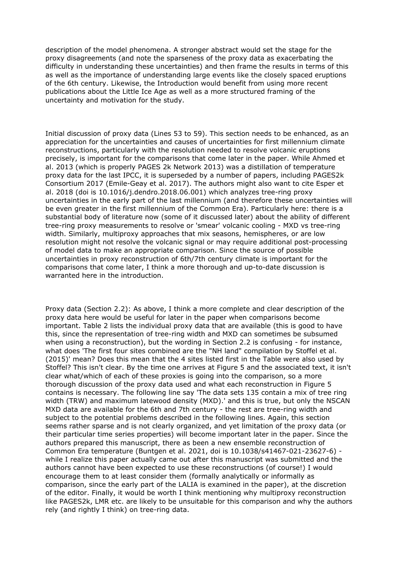description of the model phenomena. A stronger abstract would set the stage for the proxy disagreements (and note the sparseness of the proxy data as exacerbating the difficulty in understanding these uncertainties) and then frame the results in terms of this as well as the importance of understanding large events like the closely spaced eruptions of the 6th century. Likewise, the Introduction would benefit from using more recent publications about the Little Ice Age as well as a more structured framing of the uncertainty and motivation for the study.

Initial discussion of proxy data (Lines 53 to 59). This section needs to be enhanced, as an appreciation for the uncertainties and causes of uncertainties for first millennium climate reconstructions, particularly with the resolution needed to resolve volcanic eruptions precisely, is important for the comparisons that come later in the paper. While Ahmed et al. 2013 (which is properly PAGES 2k Network 2013) was a distillation of temperature proxy data for the last IPCC, it is superseded by a number of papers, including PAGES2k Consortium 2017 (Emile-Geay et al. 2017). The authors might also want to cite Esper et al. 2018 (doi is 10.1016/j.dendro.2018.06.001) which analyzes tree-ring proxy uncertainties in the early part of the last millennium (and therefore these uncertainties will be even greater in the first millennium of the Common Era). Particularly here: there is a substantial body of literature now (some of it discussed later) about the ability of different tree-ring proxy measurements to resolve or 'smear' volcanic cooling - MXD vs tree-ring width. Similarly, multiproxy approaches that mix seasons, hemispheres, or are low resolution might not resolve the volcanic signal or may require additional post-processing of model data to make an appropriate comparison. Since the source of possible uncertainties in proxy reconstruction of 6th/7th century climate is important for the comparisons that come later, I think a more thorough and up-to-date discussion is warranted here in the introduction.

Proxy data (Section 2.2): As above, I think a more complete and clear description of the proxy data here would be useful for later in the paper when comparisons become important. Table 2 lists the individual proxy data that are available (this is good to have this, since the representation of tree-ring width and MXD can sometimes be subsumed when using a reconstruction), but the wording in Section 2.2 is confusing - for instance, what does 'The first four sites combined are the "NH land" compilation by Stoffel et al. (2015)' mean? Does this mean that the 4 sites listed first in the Table were also used by Stoffel? This isn't clear. By the time one arrives at Figure 5 and the associated text, it isn't clear what/which of each of these proxies is going into the comparison, so a more thorough discussion of the proxy data used and what each reconstruction in Figure 5 contains is necessary. The following line say 'The data sets 135 contain a mix of tree ring width (TRW) and maximum latewood density (MXD).' and this is true, but only the NSCAN MXD data are available for the 6th and 7th century - the rest are tree-ring width and subject to the potential problems described in the following lines. Again, this section seems rather sparse and is not clearly organized, and yet limitation of the proxy data (or their particular time series properties) will become important later in the paper. Since the authors prepared this manuscript, there as been a new ensemble reconstruction of Common Era temperature (Buntgen et al. 2021, doi is 10.1038/s41467-021-23627-6) while I realize this paper actually came out after this manuscript was submitted and the authors cannot have been expected to use these reconstructions (of course!) I would encourage them to at least consider them (formally analytically or informally as comparison, since the early part of the LALIA is examined in the paper), at the discretion of the editor. Finally, it would be worth I think mentioning why multiproxy reconstruction like PAGES2k, LMR etc. are likely to be unsuitable for this comparison and why the authors rely (and rightly I think) on tree-ring data.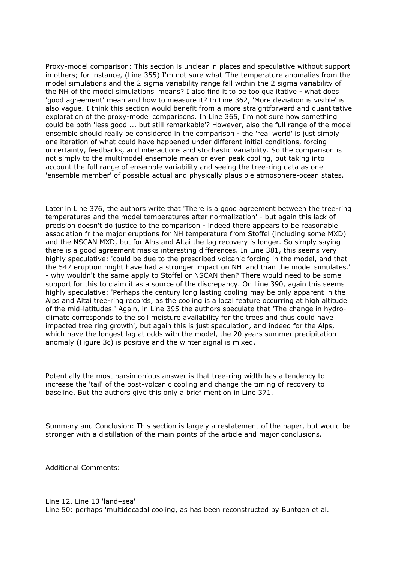Proxy-model comparison: This section is unclear in places and speculative without support in others; for instance, (Line 355) I'm not sure what 'The temperature anomalies from the model simulations and the 2 sigma variability range fall within the 2 sigma variability of the NH of the model simulations' means? I also find it to be too qualitative - what does 'good agreement' mean and how to measure it? In Line 362, 'More deviation is visible' is also vague. I think this section would benefit from a more straightforward and quantitative exploration of the proxy-model comparisons. In Line 365, I'm not sure how something could be both 'less good ... but still remarkable'? However, also the full range of the model ensemble should really be considered in the comparison - the 'real world' is just simply one iteration of what could have happened under different initial conditions, forcing uncertainty, feedbacks, and interactions and stochastic variability. So the comparison is not simply to the multimodel ensemble mean or even peak cooling, but taking into account the full range of ensemble variability and seeing the tree-ring data as one 'ensemble member' of possible actual and physically plausible atmosphere-ocean states.

Later in Line 376, the authors write that 'There is a good agreement between the tree-ring temperatures and the model temperatures after normalization' - but again this lack of precision doesn't do justice to the comparison - indeed there appears to be reasonable association fr the major eruptions for NH temperature from Stoffel (including some MXD) and the NSCAN MXD, but for Alps and Altai the lag recovery is longer. So simply saying there is a good agreement masks interesting differences. In Line 381, this seems very highly speculative: 'could be due to the prescribed volcanic forcing in the model, and that the 547 eruption might have had a stronger impact on NH land than the model simulates.' - why wouldn't the same apply to Stoffel or NSCAN then? There would need to be some support for this to claim it as a source of the discrepancy. On Line 390, again this seems highly speculative: 'Perhaps the century long lasting cooling may be only apparent in the Alps and Altai tree-ring records, as the cooling is a local feature occurring at high altitude of the mid-latitudes.' Again, in Line 395 the authors speculate that 'The change in hydroclimate corresponds to the soil moisture availability for the trees and thus could have impacted tree ring growth', but again this is just speculation, and indeed for the Alps, which have the longest lag at odds with the model, the 20 years summer precipitation anomaly (Figure 3c) is positive and the winter signal is mixed.

Potentially the most parsimonious answer is that tree-ring width has a tendency to increase the 'tail' of the post-volcanic cooling and change the timing of recovery to baseline. But the authors give this only a brief mention in Line 371.

Summary and Conclusion: This section is largely a restatement of the paper, but would be stronger with a distillation of the main points of the article and major conclusions.

Additional Comments:

## Line 12, Line 13 'land–sea'

Line 50: perhaps 'multidecadal cooling, as has been reconstructed by Buntgen et al.